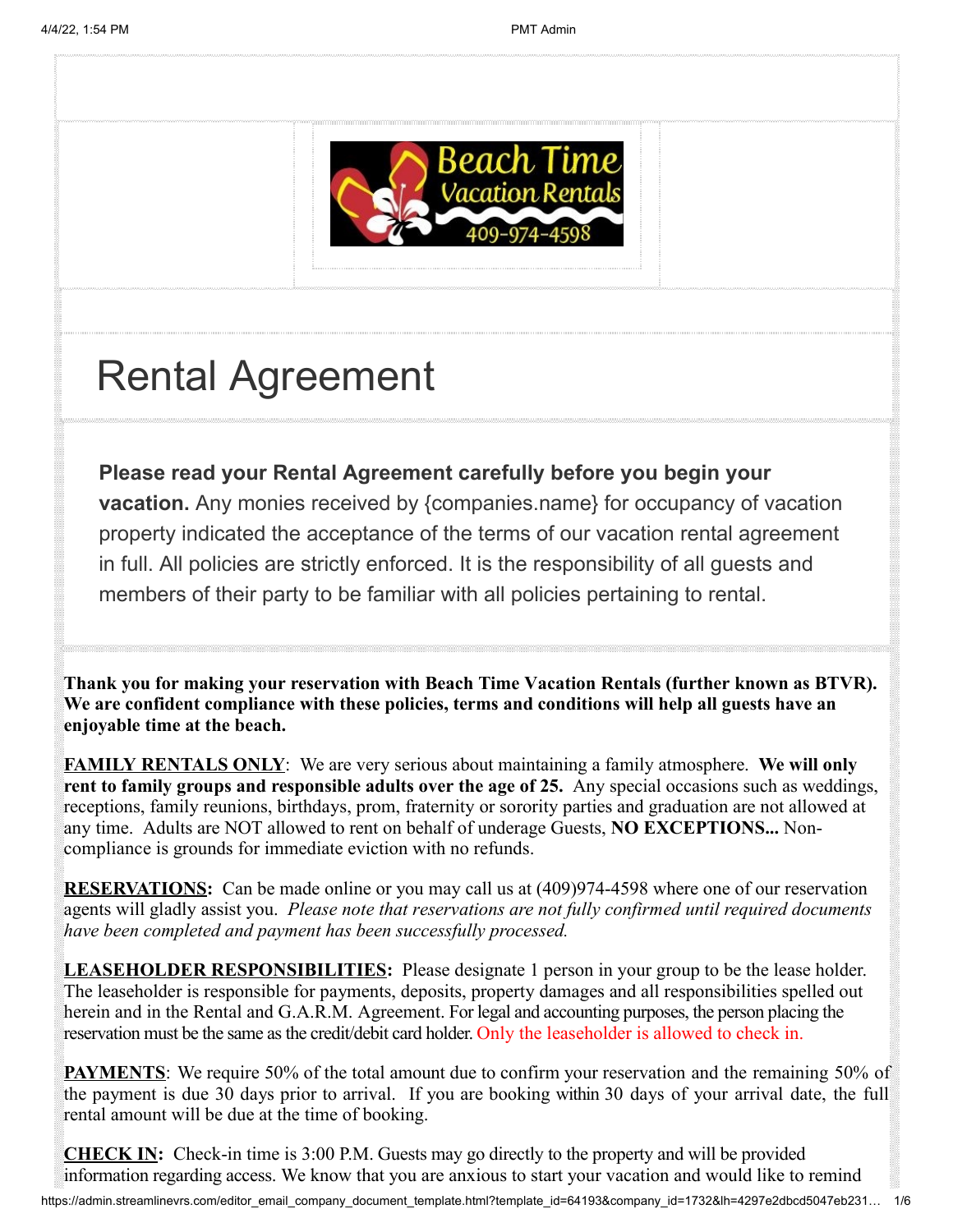

# Rental Agreement

**Please read your Rental Agreement carefully before you begin your vacation.** Any monies received by {companies.name} for occupancy of vacation property indicated the acceptance of the terms of our vacation rental agreement in full. All policies are strictly enforced. It is the responsibility of all guests and members of their party to be familiar with all policies pertaining to rental.

**Thank you for making your reservation with Beach Time Vacation Rentals (further known as BTVR). We are confident compliance with these policies, terms and conditions will help all guests have an enjoyable time at the beach.**

**FAMILY RENTALS ONLY**: We are very serious about maintaining a family atmosphere. **We will only rent to family groups and responsible adults over the age of 25.** Any special occasions such as weddings, receptions, family reunions, birthdays, prom, fraternity or sorority parties and graduation are not allowed at any time. Adults are NOT allowed to rent on behalf of underage Guests, **NO EXCEPTIONS...** Noncompliance is grounds for immediate eviction with no refunds.

**RESERVATIONS:** Can be made online or you may call us at (409)974-4598 where one of our reservation agents will gladly assist you. *Please note that reservations are not fully confirmed until required documents have been completed and payment has been successfully processed.*

**LEASEHOLDER RESPONSIBILITIES:** Please designate 1 person in your group to be the lease holder. The leaseholder is responsible for payments, deposits, property damages and all responsibilities spelled out herein and in the Rental and G.A.R.M. Agreement. For legal and accounting purposes, the person placing the reservation must be the same as the credit/debit card holder. Only the leaseholder is allowed to check in.

**PAYMENTS**: We require 50% of the total amount due to confirm your reservation and the remaining 50% of the payment is due 30 days prior to arrival. If you are booking within 30 days of your arrival date, the full rental amount will be due at the time of booking.

**CHECK IN:** Check-in time is 3:00 P.M. Guests may go directly to the property and will be provided information regarding access. We know that you are anxious to start your vacation and would like to remind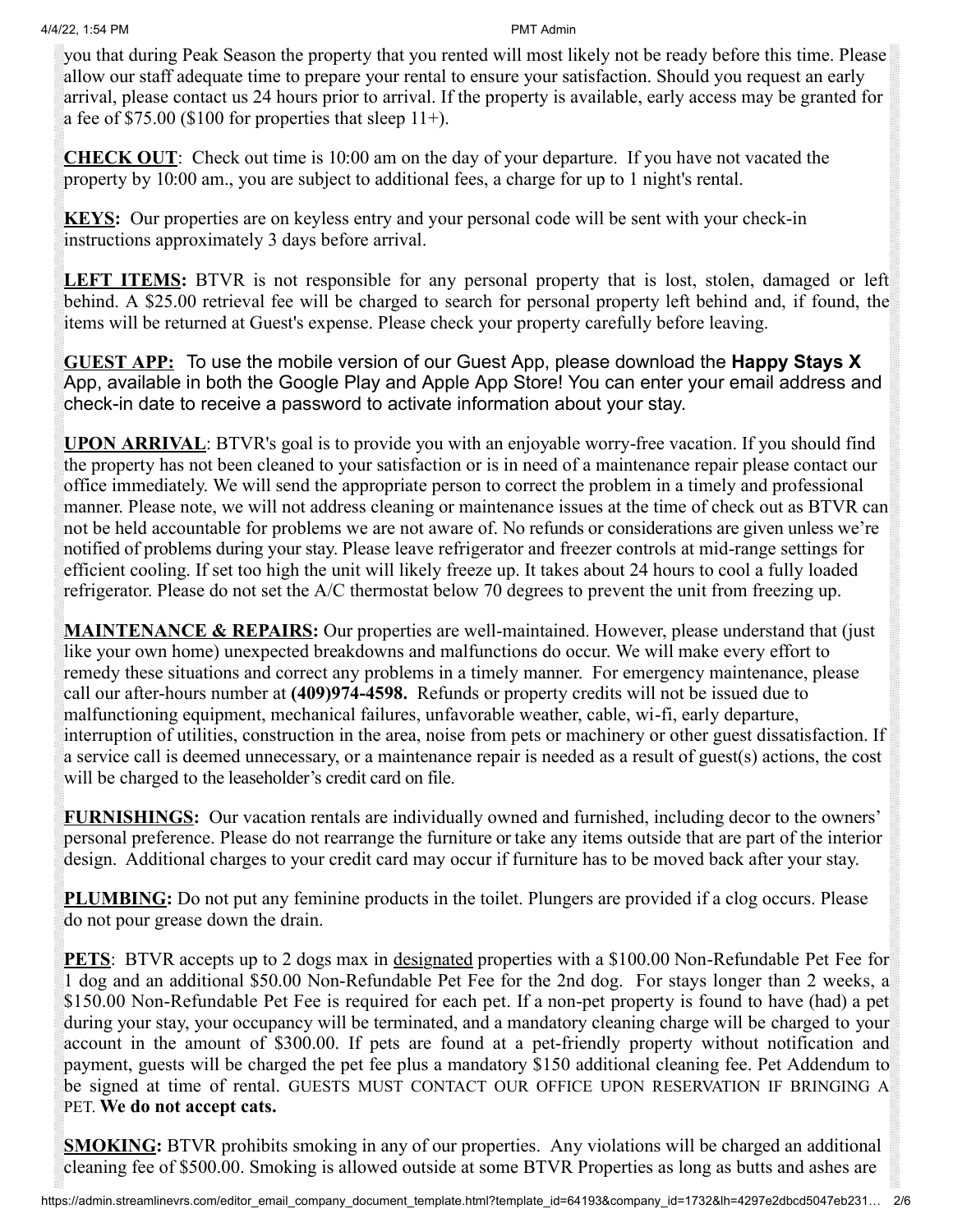you that during Peak Season the property that you rented will most likely not be ready before this time. Please allow our staff adequate time to prepare your rental to ensure your satisfaction. Should you request an early arrival, please contact us 24 hours prior to arrival. If the property is available, early access may be granted for a fee of  $$75.00$  (\$100 for properties that sleep 11+).

**CHECK OUT**: Check out time is 10:00 am on the day of your departure. If you have not vacated the property by 10:00 am., you are subject to additional fees, a charge for up to 1 night's rental.

**KEYS:** Our properties are on keyless entry and your personal code will be sent with your check-in instructions approximately 3 days before arrival.

**LEFT ITEMS:** BTVR is not responsible for any personal property that is lost, stolen, damaged or left behind. A \$25.00 retrieval fee will be charged to search for personal property left behind and, if found, the items will be returned at Guest's expense. Please check your property carefully before leaving.

**GUEST APP:** To use the mobile version of our Guest App, please download the **Happy Stays X** App, available in both the Google Play and Apple App Store! You can enter your email address and check-in date to receive a password to activate information about your stay.

**UPON ARRIVAL**: BTVR's goal is to provide you with an enjoyable worry-free vacation. If you should find the property has not been cleaned to your satisfaction or is in need of a maintenance repair please contact our office immediately. We will send the appropriate person to correct the problem in a timely and professional manner. Please note, we will not address cleaning or maintenance issues at the time of check out as BTVR can not be held accountable for problems we are not aware of. No refunds or considerations are given unless we're notified of problems during your stay. Please leave refrigerator and freezer controls at mid-range settings for efficient cooling. If set too high the unit will likely freeze up. It takes about 24 hours to cool a fully loaded refrigerator. Please do not set the A/C thermostat below 70 degrees to prevent the unit from freezing up.

**MAINTENANCE & REPAIRS:** Our properties are well-maintained. However, please understand that (just like your own home) unexpected breakdowns and malfunctions do occur. We will make every effort to remedy these situations and correct any problems in a timely manner. For emergency maintenance, please call our after-hours number at **(409)974-4598.** Refunds or property credits will not be issued due to malfunctioning equipment, mechanical failures, unfavorable weather, cable, wi-fi, early departure, interruption of utilities, construction in the area, noise from pets or machinery or other guest dissatisfaction. If a service call is deemed unnecessary, or a maintenance repair is needed as a result of guest(s) actions, the cost will be charged to the leaseholder's credit card on file.

**FURNISHINGS:** Our vacation rentals are individually owned and furnished, including decor to the owners' personal preference. Please do not rearrange the furniture or take any items outside that are part of the interior design. Additional charges to your credit card may occur if furniture has to be moved back after your stay.

**PLUMBING:** Do not put any feminine products in the toilet. Plungers are provided if a clog occurs. Please do not pour grease down the drain.

**PETS**: BTVR accepts up to 2 dogs max in designated properties with a \$100.00 Non-Refundable Pet Fee for 1 dog and an additional \$50.00 Non-Refundable Pet Fee for the 2nd dog. For stays longer than 2 weeks, a \$150.00 Non-Refundable Pet Fee is required for each pet. If a non-pet property is found to have (had) a pet during your stay, your occupancy will be terminated, and a mandatory cleaning charge will be charged to your account in the amount of \$300.00. If pets are found at a pet-friendly property without notification and payment, guests will be charged the pet fee plus a mandatory \$150 additional cleaning fee. Pet Addendum to be signed at time of rental. GUESTS MUST CONTACT OUR OFFICE UPON RESERVATION IF BRINGING A PET. **We do not accept cats.**

**SMOKING:** BTVR prohibits smoking in any of our properties. Any violations will be charged an additional cleaning fee of \$500.00. Smoking is allowed outside at some BTVR Properties as long as butts and ashes are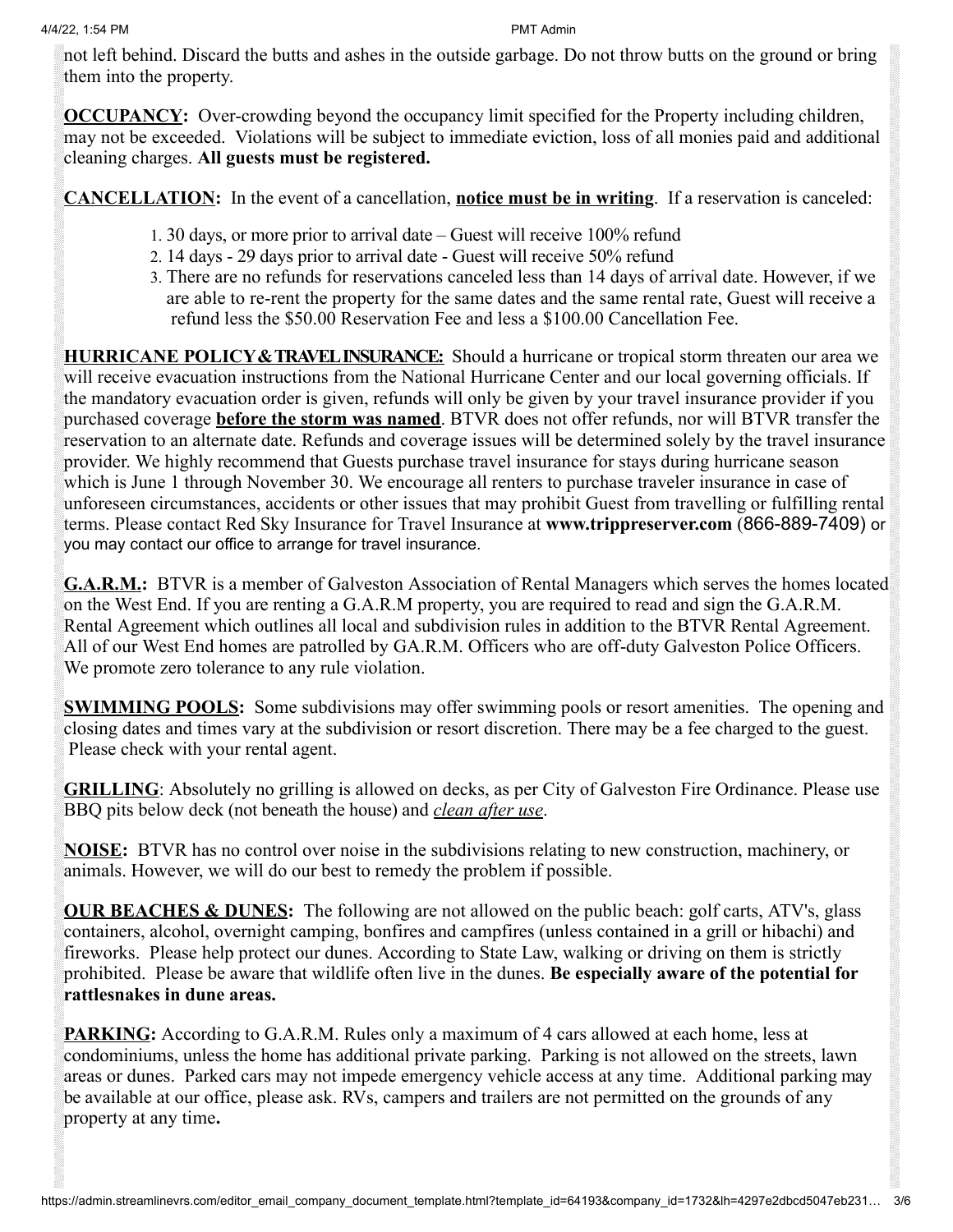not left behind. Discard the butts and ashes in the outside garbage. Do not throw butts on the ground or bring them into the property.

**OCCUPANCY:** Over-crowding beyond the occupancy limit specified for the Property including children, may not be exceeded. Violations will be subject to immediate eviction, loss of all monies paid and additional cleaning charges. **All guests must be registered.**

**CANCELLATION:** In the event of a cancellation, **notice must be in writing**. If a reservation is canceled:

- 1. 30 days, or more prior to arrival date Guest will receive 100% refund
- 2. 14 days 29 days prior to arrival date Guest will receive 50% refund
- 3. There are no refunds for reservations canceled less than 14 days of arrival date. However, if we are able to re-rent the property for the same dates and the same rental rate, Guest will receive a refund less the \$50.00 Reservation Fee and less a \$100.00 Cancellation Fee.

**HURRICANE POLICY & TRAVEL INSURANCE:** Should a hurricane or tropical storm threaten our area we will receive evacuation instructions from the National Hurricane Center and our local governing officials. If the mandatory evacuation order is given, refunds will only be given by your travel insurance provider if you purchased coverage **before the storm was named**. BTVR does not offer refunds, nor will BTVR transfer the reservation to an alternate date. Refunds and coverage issues will be determined solely by the travel insurance provider. We highly recommend that Guests purchase travel insurance for stays during hurricane season which is June 1 through November 30. We encourage all renters to purchase traveler insurance in case of unforeseen circumstances, accidents or other issues that may prohibit Guest from travelling or fulfilling rental terms. Please contact Red Sky Insurance for Travel Insurance at **www.trippreserver.com** (866-889-7409) or you may contact our office to arrange for travel insurance.

**G.A.R.M.:** BTVR is a member of Galveston Association of Rental Managers which serves the homes located on the West End. If you are renting a G.A.R.M property, you are required to read and sign the G.A.R.M. Rental Agreement which outlines all local and subdivision rules in addition to the BTVR Rental Agreement. All of our West End homes are patrolled by GA.R.M. Officers who are off-duty Galveston Police Officers. We promote zero tolerance to any rule violation.

**SWIMMING POOLS:** Some subdivisions may offer swimming pools or resort amenities. The opening and closing dates and times vary at the subdivision or resort discretion. There may be a fee charged to the guest. Please check with your rental agent.

**GRILLING**: Absolutely no grilling is allowed on decks, as per City of Galveston Fire Ordinance. Please use BBQ pits below deck (not beneath the house) and *clean after use*.

**NOISE:** BTVR has no control over noise in the subdivisions relating to new construction, machinery, or animals. However, we will do our best to remedy the problem if possible.

**OUR BEACHES & DUNES:** The following are not allowed on the public beach: golf carts, ATV's, glass containers, alcohol, overnight camping, bonfires and campfires (unless contained in a grill or hibachi) and fireworks. Please help protect our dunes. According to State Law, walking or driving on them is strictly prohibited. Please be aware that wildlife often live in the dunes. **Be especially aware of the potential for rattlesnakes in dune areas.**

**PARKING:** According to G.A.R.M. Rules only a maximum of 4 cars allowed at each home, less at condominiums, unless the home has additional private parking. Parking is not allowed on the streets, lawn areas or dunes. Parked cars may not impede emergency vehicle access at any time. Additional parking may be available at our office, please ask. RVs, campers and trailers are not permitted on the grounds of any property at any time**.**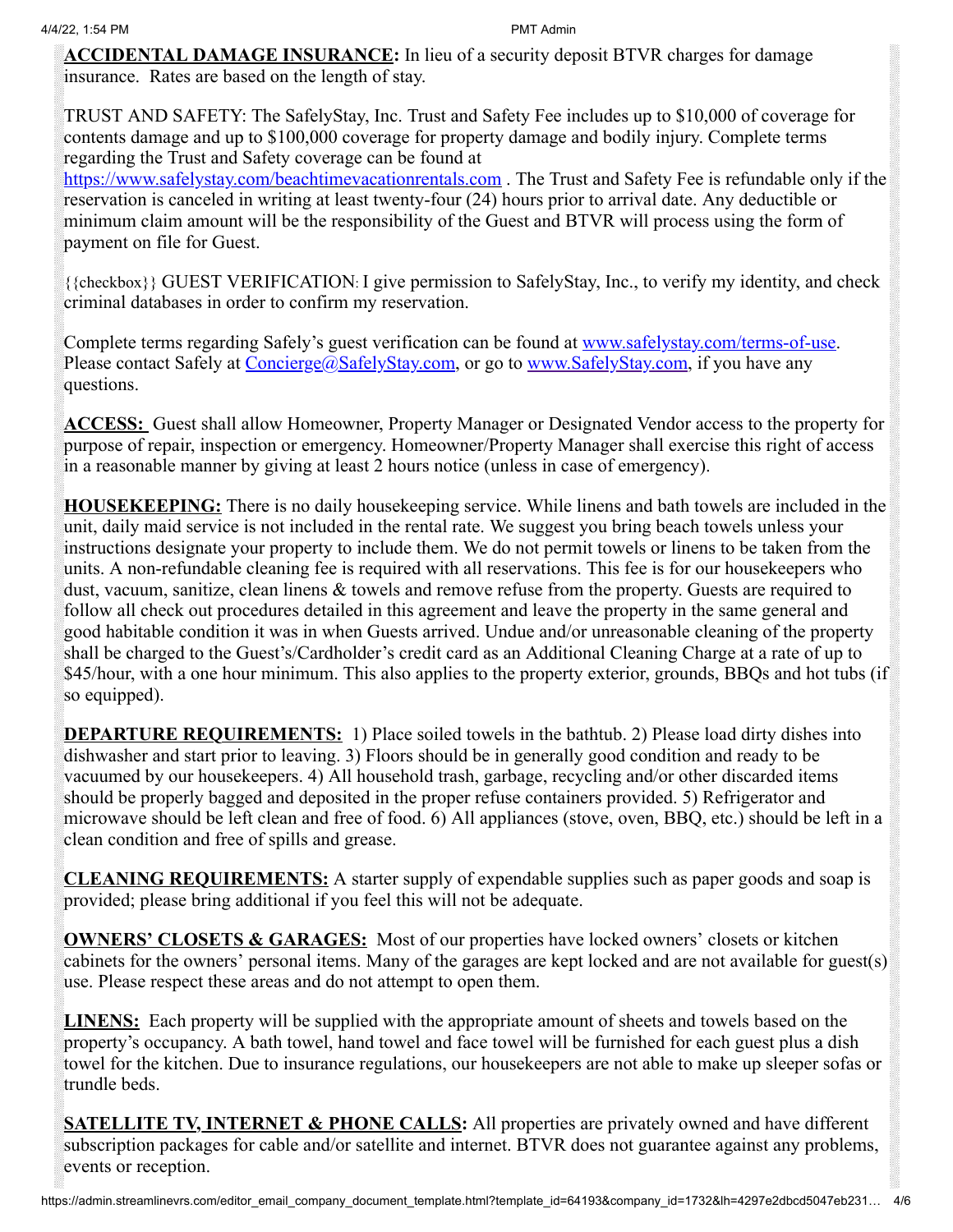**ACCIDENTAL DAMAGE INSURANCE:** In lieu of a security deposit BTVR charges for damage insurance. Rates are based on the length of stay.

TRUST AND SAFETY: The SafelyStay, Inc. Trust and Safety Fee includes up to \$10,000 of coverage for contents damage and up to \$100,000 coverage for property damage and bodily injury. Complete terms regarding the Trust and Safety coverage can be found at

[https://www.safelystay.com/](http://www.safelystay.com/PMC)beachtimevacationrentals.com. The Trust and Safety Fee is refundable only if the reservation is canceled in writing at least twenty-four (24) hours prior to arrival date. Any deductible or minimum claim amount will be the responsibility of the Guest and BTVR will process using the form of payment on file for Guest.

{{checkbox}} GUEST VERIFICATION: I give permission to SafelyStay, Inc., to verify my identity, and check criminal databases in order to confirm my reservation.

Complete terms regarding Safely's guest verification can be found at [www.safelystay.com/terms-of-use.](http://www.safelystay.com/terms-of-use) Please contact Safely at [Concierge@SafelyStay.com,](mailto:Concierge@SafelyStay.com) or go to [www.SafelyStay.com](http://www.safelystay.com/), if you have any questions.

**ACCESS:** Guest shall allow Homeowner, Property Manager or Designated Vendor access to the property for purpose of repair, inspection or emergency. Homeowner/Property Manager shall exercise this right of access in a reasonable manner by giving at least 2 hours notice (unless in case of emergency).

**HOUSEKEEPING:** There is no daily housekeeping service. While linens and bath towels are included in the unit, daily maid service is not included in the rental rate. We suggest you bring beach towels unless your instructions designate your property to include them. We do not permit towels or linens to be taken from the units. A non-refundable cleaning fee is required with all reservations. This fee is for our housekeepers who dust, vacuum, sanitize, clean linens & towels and remove refuse from the property. Guests are required to follow all check out procedures detailed in this agreement and leave the property in the same general and good habitable condition it was in when Guests arrived. Undue and/or unreasonable cleaning of the property shall be charged to the Guest's/Cardholder's credit card as an Additional Cleaning Charge at a rate of up to \$45/hour, with a one hour minimum. This also applies to the property exterior, grounds, BBQs and hot tubs (if so equipped).

**DEPARTURE REQUIREMENTS:** 1) Place soiled towels in the bathtub. 2) Please load dirty dishes into dishwasher and start prior to leaving. 3) Floors should be in generally good condition and ready to be vacuumed by our housekeepers. 4) All household trash, garbage, recycling and/or other discarded items should be properly bagged and deposited in the proper refuse containers provided. 5) Refrigerator and microwave should be left clean and free of food. 6) All appliances (stove, oven, BBQ, etc.) should be left in a clean condition and free of spills and grease.

**CLEANING REQUIREMENTS:** A starter supply of expendable supplies such as paper goods and soap is provided; please bring additional if you feel this will not be adequate.

**OWNERS' CLOSETS & GARAGES:** Most of our properties have locked owners' closets or kitchen cabinets for the owners' personal items. Many of the garages are kept locked and are not available for guest(s) use. Please respect these areas and do not attempt to open them.

**LINENS:** Each property will be supplied with the appropriate amount of sheets and towels based on the property's occupancy. A bath towel, hand towel and face towel will be furnished for each guest plus a dish towel for the kitchen. Due to insurance regulations, our housekeepers are not able to make up sleeper sofas or trundle beds.

**SATELLITE TV, INTERNET & PHONE CALLS:** All properties are privately owned and have different subscription packages for cable and/or satellite and internet. BTVR does not guarantee against any problems, events or reception.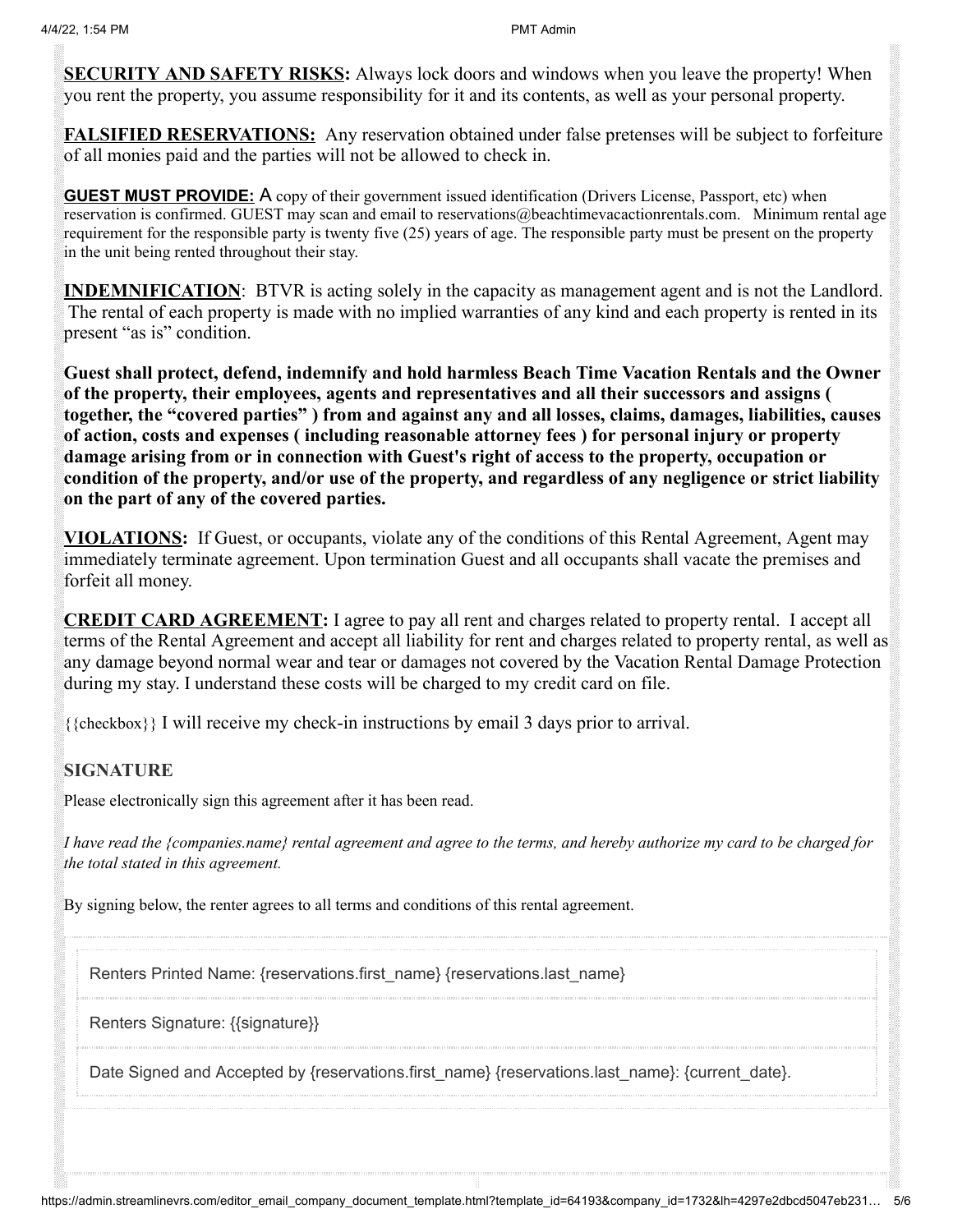**SECURITY AND SAFETY RISKS:** Always lock doors and windows when you leave the property! When you rent the property, you assume responsibility for it and its contents, as well as your personal property.

**FALSIFIED RESERVATIONS:** Any reservation obtained under false pretenses will be subject to forfeiture of all monies paid and the parties will not be allowed to check in.

**GUEST MUST PROVIDE:** A copy of their government issued identification (Drivers License, Passport, etc) when reservation is confirmed. GUEST may scan and email to reservations@beachtimevacactionrentals.com. Minimum rental age requirement for the responsible party is twenty five (25) years of age. The responsible party must be present on the property in the unit being rented throughout their stay.

**INDEMNIFICATION:** BTVR is acting solely in the capacity as management agent and is not the Landlord. The rental of each property is made with no implied warranties of any kind and each property is rented in its present "as is" condition.

**Guest shall protect, defend, indemnify and hold harmless Beach Time Vacation Rentals and the Owner of the property, their employees, agents and representatives and all their successors and assigns ( together, the "covered parties" ) from and against any and all losses, claims, damages, liabilities, causes of action, costs and expenses ( including reasonable attorney fees ) for personal injury or property damage arising from or in connection with Guest's right of access to the property, occupation or condition of the property, and/or use of the property, and regardless of any negligence or strict liability on the part of any of the covered parties.**

**VIOLATIONS:** If Guest, or occupants, violate any of the conditions of this Rental Agreement, Agent may immediately terminate agreement. Upon termination Guest and all occupants shall vacate the premises and forfeit all money.

**CREDIT CARD AGREEMENT:** I agree to pay all rent and charges related to property rental. I accept all terms of the Rental Agreement and accept all liability for rent and charges related to property rental, as well as any damage beyond normal wear and tear or damages not covered by the Vacation Rental Damage Protection during my stay. I understand these costs will be charged to my credit card on file.

{{checkbox}} I will receive my check-in instructions by email 3 days prior to arrival.

## **SIGNATURE**

Please electronically sign this agreement after it has been read.

*I have read the {companies.name} rental agreement and agree to the terms, and hereby authorize my card to be charged for the total stated in this agreement.*

By signing below, the renter agrees to all terms and conditions of this rental agreement.

Renters Printed Name: {reservations.first\_name} {reservations.last\_name}

Renters Signature: {{signature}}

Date Signed and Accepted by {reservations.first\_name} {reservations.last\_name}: {current\_date}.